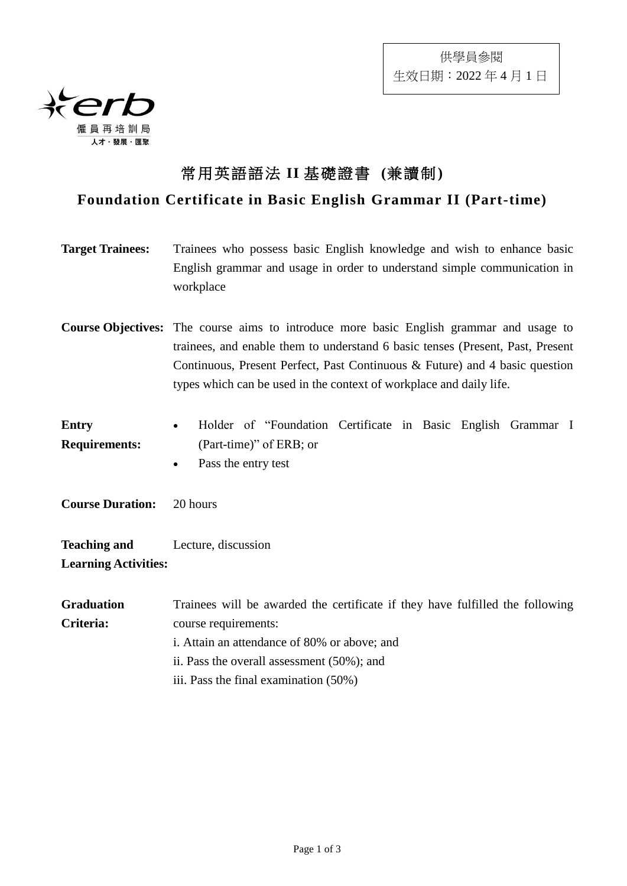

## 常用英語語法 **II** 基礎證書 **(**兼讀制**)**

## **Foundation Certificate in Basic English Grammar II (Part-time)**

| <b>Target Trainees:</b>              | Trainees who possess basic English knowledge and wish to enhance basic<br>English grammar and usage in order to understand simple communication in<br>workplace                                                                                                                                                                        |
|--------------------------------------|----------------------------------------------------------------------------------------------------------------------------------------------------------------------------------------------------------------------------------------------------------------------------------------------------------------------------------------|
|                                      | <b>Course Objectives:</b> The course aims to introduce more basic English grammar and usage to<br>trainees, and enable them to understand 6 basic tenses (Present, Past, Present<br>Continuous, Present Perfect, Past Continuous & Future) and 4 basic question<br>types which can be used in the context of workplace and daily life. |
| <b>Entry</b><br><b>Requirements:</b> | Holder of "Foundation Certificate in Basic English Grammar I<br>$\bullet$<br>(Part-time)" of ERB; or<br>Pass the entry test                                                                                                                                                                                                            |

**Course Duration:** 20 hours

**Teaching and Learning Activities:** Lecture, discussion

**Graduation Criteria:** Trainees will be awarded the certificate if they have fulfilled the following course requirements: i. Attain an attendance of 80% or above; and ii. Pass the overall assessment (50%); and iii. Pass the final examination (50%)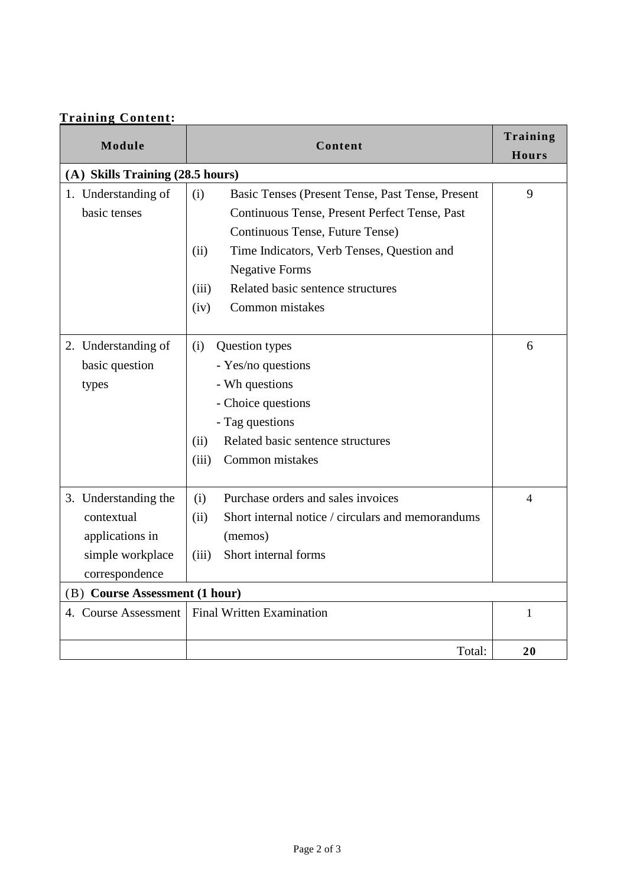| Module                           | Content                                                   | Training<br><b>Hours</b> |  |
|----------------------------------|-----------------------------------------------------------|--------------------------|--|
| (A) Skills Training (28.5 hours) |                                                           |                          |  |
| 1. Understanding of              | Basic Tenses (Present Tense, Past Tense, Present<br>(i)   | 9                        |  |
| basic tenses                     | Continuous Tense, Present Perfect Tense, Past             |                          |  |
|                                  | Continuous Tense, Future Tense)                           |                          |  |
|                                  | (ii)<br>Time Indicators, Verb Tenses, Question and        |                          |  |
|                                  | <b>Negative Forms</b>                                     |                          |  |
|                                  | Related basic sentence structures<br>(iii)                |                          |  |
|                                  | Common mistakes<br>(iv)                                   |                          |  |
| 2. Understanding of              | (i)<br>Question types                                     | 6                        |  |
| basic question                   | - Yes/no questions                                        |                          |  |
| types                            | - Wh questions                                            |                          |  |
|                                  | - Choice questions                                        |                          |  |
|                                  | - Tag questions                                           |                          |  |
|                                  | Related basic sentence structures<br>(ii)                 |                          |  |
|                                  | Common mistakes<br>(iii)                                  |                          |  |
|                                  |                                                           |                          |  |
| 3. Understanding the             | Purchase orders and sales invoices<br>(i)                 | 4                        |  |
| contextual                       | Short internal notice / circulars and memorandums<br>(ii) |                          |  |
| applications in                  | (memos)                                                   |                          |  |
| simple workplace                 | Short internal forms<br>(iii)                             |                          |  |
| correspondence                   |                                                           |                          |  |
| (B) Course Assessment (1 hour)   |                                                           |                          |  |
| 4. Course Assessment             | <b>Final Written Examination</b>                          | 1                        |  |
|                                  |                                                           |                          |  |
|                                  | Total:                                                    | 20                       |  |

## **Training Content:**